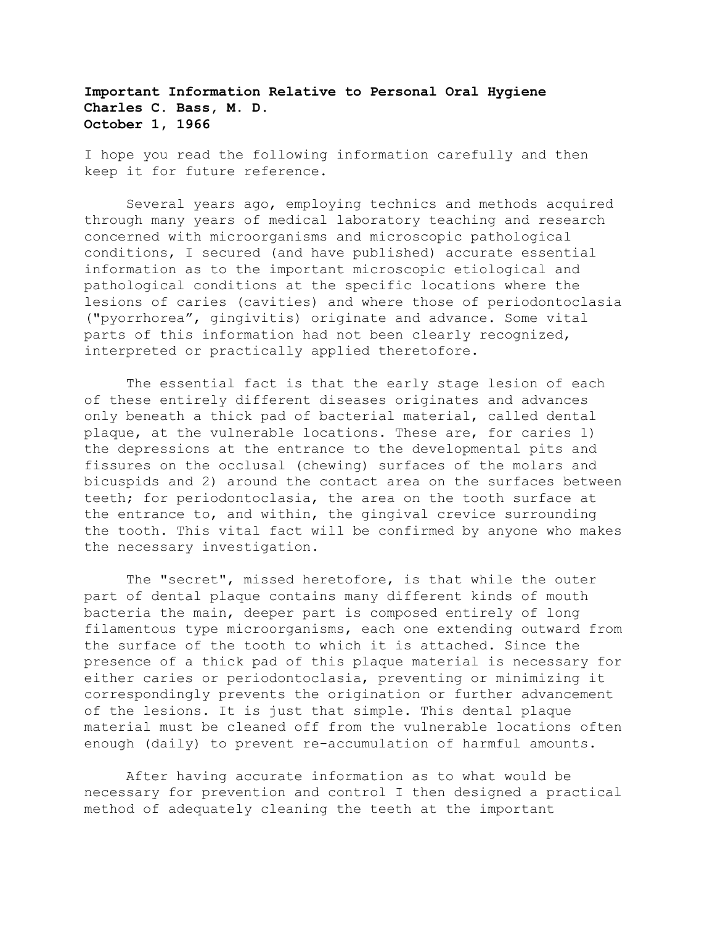**Important Information Relative to Personal Oral Hygiene Charles C. Bass, M. D. October 1, 1966**

I hope you read the following information carefully and then keep it for future reference.

 Several years ago, employing technics and methods acquired through many years of medical laboratory teaching and research concerned with microorganisms and microscopic pathological conditions, I secured (and have published) accurate essential information as to the important microscopic etiological and pathological conditions at the specific locations where the lesions of caries (cavities) and where those of periodontoclasia ("pyorrhorea", gingivitis) originate and advance. Some vital parts of this information had not been clearly recognized, interpreted or practically applied theretofore.

 The essential fact is that the early stage lesion of each of these entirely different diseases originates and advances only beneath a thick pad of bacterial material, called dental plaque, at the vulnerable locations. These are, for caries 1) the depressions at the entrance to the developmental pits and fissures on the occlusal (chewing) surfaces of the molars and bicuspids and 2) around the contact area on the surfaces between teeth; for periodontoclasia, the area on the tooth surface at the entrance to, and within, the gingival crevice surrounding the tooth. This vital fact will be confirmed by anyone who makes the necessary investigation.

 The "secret", missed heretofore, is that while the outer part of dental plaque contains many different kinds of mouth bacteria the main, deeper part is composed entirely of long filamentous type microorganisms, each one extending outward from the surface of the tooth to which it is attached. Since the presence of a thick pad of this plaque material is necessary for either caries or periodontoclasia, preventing or minimizing it correspondingly prevents the origination or further advancement of the lesions. It is just that simple. This dental plaque material must be cleaned off from the vulnerable locations often enough (daily) to prevent re-accumulation of harmful amounts.

 After having accurate information as to what would be necessary for prevention and control I then designed a practical method of adequately cleaning the teeth at the important